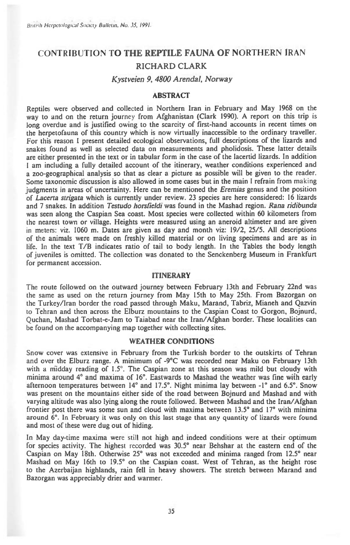# CONTRIBUTION **TO THE REPTILE FAUNA OF** NORTHERN IRAN RICHARD CLARK

# *Kystveien 9, 4800 Arendal, Norway*

# **ABSTRACT**

Reptiles were observed and collected in Northern Iran in February and May 1968 on the way to and on the return journey from Afghanistan (Clark 1990). A report on this trip is long overdue and is justified owing to the scarcity of first-hand accounts in recent times on the herpetofauna of this country which is now virtually inaccessible to the ordinary traveller. For this reason I present detailed ecological observations, full descriptions of the lizards and snakes found as well as selected data on measurements and pholidosis. These latter details are either presented in the text or in tabular form in the case of the lacertid lizards. In addition I am including a fully detailed account of the itinerary, weather conditions experienced and a zoo-geographical analysis so that as clear a picture as possible will be given to the reader. Some taxonomic discussion is also allowed in some cases but in the main I refrain from making judgments in areas of uncertainty. Here can be mentioned the *Eremias* genus and the position of *Lacerta strigata* which is currently under review. 23 species are here considered: 16 lizards and 7 snakes. In addition *Testudo horsfieldi* was found in the Mashad region. Rana *ridibunda*  was seen along the Caspian Sea coast. Most species were collected within 60 kilometers from the nearest town or village. Heights were measured using an aneroid altimeter and are given in meters: viz. 1060 m. Dates are given as day and month viz: 19/2, 25/5. All descriptions of the animals were made on freshly killed material or on living specimens and are as in life. In the text T/B indicates ratio of tail to body length. In the Tables the body length of juveniles is omitted. The collection was donated to the Senckenberg Museum in Frankfurt for permanent accession.

### **ITINERARY**

The route followed on the outward journey between February 13th and February 22nd was the same as used on the return journey from May 15th to May 25th. From Bazorgan on the Turkey/Iran border the road passed through Maku, Marand, Tabriz, Mianeh and Qazvin to Tehran and then across the Elburz mountains to the Caspian Coast to Gorgon, Bojnurd, Quchan, Mashad Torbat-e-Jam to Taiabad near the Iran/Afghan border. These localities can be found on the accompanying map together with collecting sites.

# **WEATHER CONDITIONS**

Snow cover was extensive in February from the Turkish border to the outskirts of Tehran and over the Elburz range. A minimum of -9°C was recorded near Maku on February 13th with a midday reading of  $1.5^\circ$ . The Caspian zone at this season was mild but cloudy with minima around 4° and maxima of 16°. Eastwards to Mashad the weather was fine with early afternoon temperatures between 14° and 17.5°. Night minima lay between -1° and 6.5°. Snow was present on the mountains either side of the road between Bojnurd and Mashad and with varying altitude was also lying along the route followed. Between Mashad and the Iran/Afghan frontier post there was some sun and cloud with maxima between 13.5° and 17° with minima around 6°. In February it was only on this last stage that any quantity of lizards were found and most of these were dug out of hiding.

In May day-time maxima were still not high and indeed conditions were at their optimum for species activity. The highest recorded was 30.5° near Behshar at the eastern end of the Caspian on May 18th. Otherwise 25° was not exceeded and minima ranged from 12.5° near Mashad on May 16th to 19.5° on the Caspian coast. West of Tehran, as the height rose to the Azerbaijan highlands, rain fell in heavy showers. The stretch between Marand and Bazorgan was appreciably drier and warmer.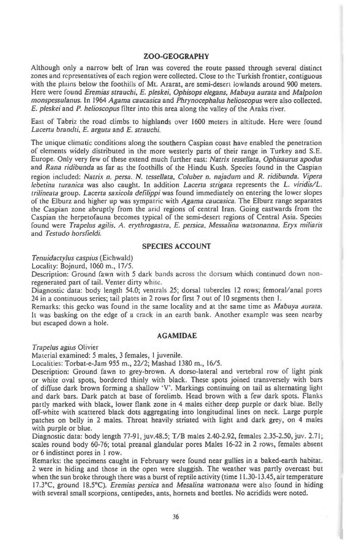# ZOO-GEOGRAPHY

Although only a narrow belt of Iran was covered the route passed through several distinct zones and representatives of each region were collected. Close to the Turkish frontier, contiguous with the plains below the foothills of Mt. Ararat, are semi-desert lowlands around 900 meters. Here were found *Eremias strauchi, E. pleskei, Ophisops elegans, Mabuya aurata* and *Malpolon monspessulanus.* In 1964 *Agama caucasica* and *Phrynocephalus helioscopus* were also collected. *E. pleskei* and *P. helioscopus filter* into this area along the valley of the Araks river.

East of Tabriz the road climbs to highlands over 1600 meters in altitude. Here were found *Lacerta brandti, E. arguta* and *E. strauchi.* 

The unique climatic conditions along the southern Caspian coast have enabled the penetration of elements widely distributed in the more westerly parts of their range in Turkey and S.E. Europe. Only very few of these extend much further *east: Natrix tessellata, Ophisaurus apodus*  and *Rana ridibunda as far as* the foothills of the Hindu Kush. Species found in the Caspian region included: *Natrix n. persa. N. tessellata, Coluber n. najadum* and *R. ridibunda. Vipera lebetina turanica* was also caught. In addition *Lacerta strigata* represents the *L. viridis/L. trilineata* group. *Lacerta saxicola defilippi* was found immediately on entering the lower slopes of the Elburz and higher up was sympatric with *Agama caucasica.* The Elburz range separates the Caspian zone abruptly from the arid regions of central Iran. Going eastwards from the Caspian the herpetofauna becomes typical of the semi-desert regions of Central Asia. Species found were *Trapelus agilis. A. erythrogastra, E. persica, Messalina watsonanna. Eryx miliaris*  and *Testudo horsfieldi.* 

## **SPECIES ACCOUNT**

*Tenuidactylus caspius* (Eichwald)

Locality: Bojnurd, 1060 m., 17/5.

Description: Ground fawn with 5 dark bands across the dorsum which continued down nonregenerated part of tail. Venter dirty white.

Diagnostic data: body length 54.0; ventrals 25; dorsal tubercles 12 rows; femoral/anal pores 24 in a continuous series; tail plates in 2 rows for first 7 out of 10 segments then 1.

Remarks: this gecko was found in the same locality and at the same time *as Mabuya aurata.*  It was basking on the edge of a crack in an earth bank. Another example was seen nearby but escaped down a hole.

#### **AGAMIDAE**

*Trapelus agirrs* Olivier

Material examined: 5 males, 3 females, 1 juvenile.

Localities: Torbat-e-Jam 955 m., 22/2; Mashad 1380 m., 16/5.

Description: Ground fawn to grey-brown. A dorso-lateral and vertebral row of light pink or white oval spots, bordered thinly with black. These spots joined transversely with bars of diffuse dark brown forming a shallow 'V'. Markings continuing on tail as alternating light and dark bars. Dark patch at base of forelimb. Head brown with a few dark spots. Flanks partly marked with black, lower flank zone in 4 males either deep purple or dark blue. Belly off-white with scattered black dots aggregating into longitudinal lines on neck. Large purple -patches on belly in 2 males. Throat heavily striated with light and dark grey, on 4 males with purple or blue.

Diagnostic data: body length 77-91, juv.48.5; T/B males 2.40-2.92, females 2.35-2.50, juv. 2.71; scales round body 60-76; total preanal glandular pores Males 16-22 in 2 rows, females absent or 6 indistinct pores in 1 row.

Remarks: the specimens caught in February were found near gullies in a baked-earth habitat. 2 were in hiding and those in the open were sluggish. The weather was partly overcast but when the sun broke through there was a burst of reptile activity (time 11.30-13.45, air temperature 17.3°C, ground 18.5°C). *Eremias persica* and *Mesalina watsonana* were also found in hiding with several small scorpions, centipedes, ants, hornets and beetles. No acridids were noted.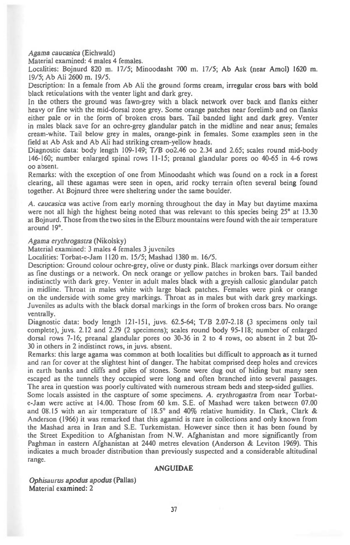*Agama caucasica* (Eichwald)

Material examined: 4 males 4 females.

Localities: Bojnurd 820 m. 17/5; Minoodasht 700 m. 17/5; Ab Ask (near Amol) 1620 m. 19/5; Ab Ali 2600 m. 19/5.

Description: In a female from Ab Ali the ground forms cream, irregular cross bars with bold black reticulations with the venter light and dark grey.

In the others the ground was fawn-grey with a black network over back and flanks either heavy or fine with the mid-dorsal zone grey. Some orange patches near forelimb and on flanks either pale or in the form of broken cross bars. Tail banded light and dark grey. Venter in males black save for an ochre-grey glandular patch in the midline and near anus; females cream-white. Tail below grey in males, orange-pink in females. Some examples seen in the field at Ab Ask and Ab Ali had striking cream-yellow heads.

Diagnostic data: body length 109-149; T/B oo2.46 oo 2.34 and 2.65; scales round mid-body 146-160; number enlarged spinal rows 11-15; preanal glandular pores oo 40-65 in 4-6 rows oo absent.

Remarks: with the exception of one from Minoodasht which was found on a rock in a forest clearing, all these agamas were seen in open, arid rocky terrain often several being found together. At Bojnurd three were sheltering under the same boulder.

A. *caucasica* was active from early morning throughout the day in May but daytime maxima were not all high the highest being noted that was relevant to this species being 25° at 13.30 at Bojnurd. Those from the two sites in the Elburz mountains were found with the air temperature around 19°.

#### *Agama erythrogastra* (Nikolsky)

Material examined: 3 males 4 females 3 juveniles

Localities: Torbat-e-Jam 1120 m. 15/5; Mashad 1380 m. 16/5.

Description: Ground colour ochre-grey, olive or dusty pink. Black markings over dorsum either as fine dustings or a network. On neck orange or yellow patches in broken bars. Tail banded indistinctly with dark grey. Venter in adult males black with a greyish callosic glandular patch in midline. Throat in males white with large black patches. Females were pink or orange on the underside with some grey markings. Throat as in males but with dark grey markings. Juveniles as adults with the black dorsal markings in the form of broken cross bars. No orange ventrally.

Diagnostic data: body length 121-151, juvs. 62.5-64; T/B 2.07-2.18 (3 specimens only tail complete), juvs. 2.12 and 2.29 (2 specimens); scales round body 95-I 18; number of enlarged dorsal rows 7-16; preanal glandular pores oo 30-36 in 2 to 4 rows, oo absent in 2 but 20- 30 in others in 2 indistinct rows, in juvs. absent.

Remarks: this large agama was common at both localities but difficult to approach as it turned and ran for cover at the slightest hint of danger. The habitat comprised deep holes and crevices in earth banks and cliffs and piles of stones. Some were dug out of hiding but many seen escaped as the tunnels they occupied were long and often branched into several passages. The area in question was poorly cultivated with numerous stream beds and steep-sided gullies.

Some locals assisted in the caspture of some specimens. A. *erythrogastra* from near Torbate-Jam were active at 14.00. Those from 60 km. S.E. of Mashad were taken between 07.00 and 08.15 with an air temperature of 18.5° and 40% relative humidity. In Clark, Clark & Anderson (1966) it was remarked that this agamid is rare in collections and only known from the Mashad area in Iran and S.E. Turkemistan. However since then it has been found by the Street Expedition to Afghanistan from N.W. Afghanistan and more significantly from Paghman in eastern Afghanistan at 2440 metres elevation (Anderson & Leviton 1969). This indicates a much broader distribution than previously suspected and a considerable altitudinal range.

### **ANGUIDAE**

*Ophisaurus apodus apodus* (Pallas) Material examined: 2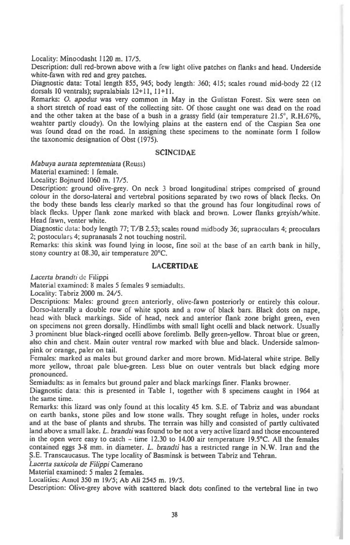Locality: Minoodasht 1120 m. 17/5.

Description: dull red-brown above with a few light olive patches on flanks and head. Underside white-fawn with red and grey patches.

Diagnostic data: Total length 855, 945; body length: 360; 415; scales round mid-body 22 (12 dorsals 10 ventrals); supralabials 12+11, 11+11.

Remarks: *0. apodus* was very common in May in the Gulistan Forest. Six were seen on a short stretch of road east of the collecting site. Of those caught one was dead on the road and the other taken at the base of a bush in a grassy field (air temperature  $21.5^\circ$ , R.H.67%, weahter partly cloudy). On the lowlying plains at the eastern end of the Caspian Sea one was found dead on the road. In assigning these specimens to the nominate form I follow the taxonomic designation of Obst (1975).

## **SCINCIDAE**

*Mabuya aurata septemteniata* (Reuss)

Material examined: 1 female.

Locality: Bojnurd 1060 m. 17/5.

Description: ground olive-grey. On neck 3 broad longitudinal stripes comprised of ground colour in the dorso-lateral and vertebral positions separated by two rows of black flecks. On the body these bands less clearly marked so that the ground has four longitudinal rows of black flecks. Upper flank zone marked with black and brown. Lower flanks greyish/white. Head fawn, venter white.

Diagnostic data: body length 77; T/B 2.53; scales round midbody 36; supraoculars 4; preoculars 2; postoculars 4; supranasals 2 not touching nostril.

Remarks: this skink was found lying in loose, fine soil at the base of an earth bank in hilly, stony country at 08.30, air temperature 20°C.

# LACERTIDAE

*Lacerta brandti* de Filippi

Material examined: 8 males 5 females 9 semiadults.

Locality: Tabriz 2000 m. 24/5.

Descriptions: Males: ground green anteriorly, olive-fawn posteriorly or entirely this colour. Dorso-laterally a double row of white spots and a row of black bars. Black dots on nape, head with black markings. Side of head, neck and anterior flank zone bright green, even on specimens not green dorsally. Hindlimbs with small light ocelli and black network. Usually 3 prominent blue black-ringed ocelli above forelimb. Belly green-yellow. Throat blue or green, also chin and chest. Main outer ventral row marked with blue and black. Underside salmonpink or orange, paler on tail.

Females: marked as males but ground darker and more brown. Mid-lateral white stripe. Belly more yellow, throat pale blue-green. Less blue on outer ventrals but black edging more pronounced.

Semiadults: as in females but ground paler and black markings finer. Flanks browner.

Diagnostic data: this is presented in Table 1, together with 8 specimens caught in 1964 at the same time.

Remarks: this lizard was only found at this locality 45 km. S.E. of Tabriz and was abundant on earth banks, stone piles and low stone walls. They sought refuge in holes, under rocks and at the base of plants and shrubs. The terrain was hilly and consisted of partly cultivated land above a small lake. *L. brandti* was found to be not a very active lizard and these encountered in the open were easy to catch - time 12.30 to 14.00 air temperature 19.5°C. All the females contained eggs 3-8 mm. in diameter. *L. brandti* has a restricted range in N.W. Iran and the S.E. Transcaucasus. The type locality of Basminsk is between Tabriz and Tehran.

*Lacerta saxicola de Filippi* Camerano

Material examined: 5 males 2 females.

Localities: Amol 350 m 19/5; Ab Ali 2545 m. 19/5.

Description: Olive-grey above with scattered black dots confined to the vertebral line in two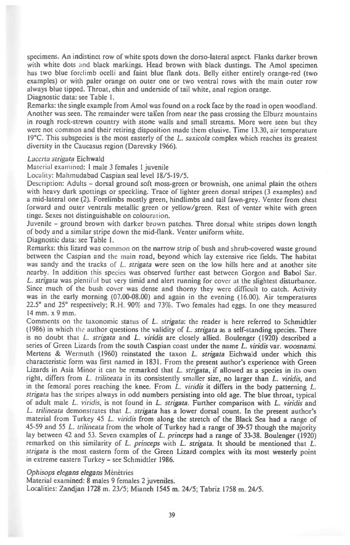**specimens. An indistinct row of white spots down the dorso-lateral aspect. Flanks darker brown**  with white dots and black markings. Head brown with black dustings. The Amol specimen **has two blue forelimb ocelli and faint blue flank dots. Belly either entirely orange-red (two examples) or with paler orange on outer one or two ventral rows with the main outer row always blue tipped. Throat, chin and underside of tail white, anal region orange. Diagnostic data: see Table 1.** 

**Remarks: the single example from Amol was found on a rock face by the road in open woodland. Another was seen. The remainder were taken from near the pass crossing the Elburz mountains in rough rock-strewn country with stone walls and small streams. More were seen but they were not common and their retiring disposition made them elusive. Time 13.30, air temperature 19°C. This subspecies is the most easterly of the** *L. saxicola* **complex which reaches its greatest diversity in the Caucasus region (Darevsky 1966).** 

#### *Lacerta strigata* **Eichwald**

**Material examined: 1 male 3 females** 1 **juvenile** 

**Locality: Mahmudabad Caspian seal level 18/5-19/5.** 

**Description: Adults - dorsal ground soft moss-green or brownish, one animal plain the others with heavy dark spottings or speckling. Trace of lighter green dorsal stripes (3 examples) and a mid-lateral one (2). Forelimbs mostly green, hindlimbs and tail fawn-grey. Venter from chest forward and outer ventrals metallic green or yellow/green. Rest of venter white with green tinge. Sexes not distinguishable on colouration.** 

**Juvenile - ground brown with darker brown patches. Three dorsal white stripes down length of body and a similar stripe down the mid-flank. Venter uniform white.** 

**Diagnostic data: see Table I.** 

**Remarks: this lizard was common on the narrow strip of bush and shrub-covered waste ground between the Caspian and the main road, beyond which lay extensive rice fields. The habitat was sandy and the tracks of** *L. strigata* **were seen on the low hills here and at another site nearby. In addition this species was observed further east between Gorgon and Babol Sar.**  *L. strigata* **was plentiful but very timid and alert running for cover at the slightest disturbance. Since much of the bush cover was dense and thorny they were difficult to catch. Activity was in the early morning (07.00-08.00) and again in the evening (16.00). Air temperatures 22.5° and 25° respectively; R.H. 90% and 73%. Two females had eggs. In one they measured 14 mm. x 9 mm.** 

**Comments on the taxonomic status of** *L. strigata:* **the reader is here referred to Schmidtler (1986) in which the author questions the validity of** *L. strigata* **as a self-standing species. There is no doubt that** *L. strigata* **and** *L. viridis* **are closely allied. Boulenger (1920) described a series of Green Lizards from the south Caspian coast under the name** *L. viridis* **var.** *woosnami.*  **Mertens & Wermuth (1960) reinstated the taxon** *L. strigata* **Eichwald under which this characteristic form was first named in 1831. From the present author's experience with Green Lizards in Asia Minor it can be remarked that** *L. strigata,* **if allowed as a species in its own right, differs from** *L. trilineata* **in its consistently smaller size, no larger than** *L. viridis,* **and in the femoral pores reaching the knee. From** *L. viridis* **it differs in the body patterning** *L. strigata* **has the stripes always in odd numbers persisting into old age. The blue throat, typical of adult male** *L. viridis,* **is not found in** *L. strigata.* **Further comparison with** *L. viridis* **and**  *L. trilineata* **demonstrates that** *L. strigata* **has a lower dorsal count. In the present author's material from Turkey 45** *L. viridis* **from along the stretch of the Black Sea had a range of 45-59 and 55** *L. trilineata* **from the whole of Turkey had a range of 39-57 though the majority lay between 42 and 53. Seven examples of** *L. princeps* **had a range of 33-38. Boulenger (1920) remarked on this similarity of** *L. princeps* with *L. strigata.* **It should be mentioned that** *L. strigata* **is the most eastern form of the Green Lizard complex with its most westerly point in extreme eastern Turkey - see Schmidtler 1986.** 

#### *Ophisops elegans elegans* **Menetries**

**Material examined: 8 males 9 females 2 juveniles. Localities: Zandjan 1728 m. 23/5; Mianeh 1545 m. 24/5; Tabriz 1758 m. 24/5.**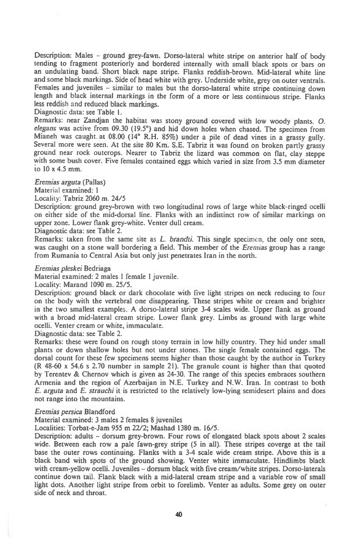**Description: Males - ground grey-fawn. Dorso-lateral white stripe on anterior half of body tending to fragment posteriorly and bordered internally with small black spots or bars on an undulating band. Short black nape stripe. Flanks reddish-brown. Mid-lateral white line and some black markings. Side of head white with grey. Underside white, grey on outer ventrals. Females and juveniles - similar to males but the dorso-lateral white stripe continuing down length and black internal markings in the form of a more or less continuous stripe. Flanks less reddish and reduced black markings.** 

**Diagnostic data: see Table 1.** 

**Remarks: near Zandjan the habitat was stony ground covered with low woody plants.** *0. elegans* **was active from 09.30 (19.5°) and hid down holes when chased. The specimen from Mianeh was caught. at 08.00 (14° R.H. 85%) under a pile of dead vines in a grassy gully. Several more were seen. At the site 80 Km. S.E. Tabriz it was found on broken partly grassy ground near rock outcrops. Nearer to Tabriz the lizard was common on flat, clay steppe with some bush cover. Five females contained eggs which varied in size from 3.5 mm diameter to 10 x 4.5 mm.** 

*Eremias arguta* **(Pallas)** 

*Material* **examined: 1** 

**Locality: Tabriz 2060 m. 24/5** 

**Description: ground grey-brown with two longitudinal rows of large white black ringed ocelli on either side of the mid-dorsal line. Flanks with an indistinct row of similar markings on upper zone. Lower flank grey-white. Venter dull cream.** 

**Diagnostic data: see Table 2.** 

**Remarks: taken from the same site as** *L. brandti.* **This single specimen, the only one seen, was caught on a stone wall bordering a field. This member of the** *Erenuas* **group has a range from Rumania to Central Asia but only just penetrates Iran in the north.** 

#### *Eremias pleskei* **Bedriaga**

**Material examined: 2 males 1 female I juvenile.** 

**Locality: Marand 1090 m. 25/5.** 

**Description: ground black or dark chocolate with five light stripes on neck reducing to four on the body with the vertebral one disappearing. These stripes white or cream and brighter in the two smallest examples. A dorso-lateral stripe 3-4 scales wide. Upper flank as ground with a broad mid-lateral cream stripe. Lower flank grey. Limbs as ground with large white ocelli. Venter cream or white, immaculate.** 

**Diagnostic data: see Table 2.** 

**Remarks: these were found on rough stony terrain in low hilly country. They hid under small plants or down shallow holes but not under stones. The single female contained eggs. The dorsal count for these few specimens seems higher than those caught by the author in Turkey (R 48-60 x 54.6 s 2.70 number in sample 21). The granule count is higher than that quoted by Terentev & Chernov which is given as 24-30. The range of this species embraces southern Armenia and the region of Azerbaijan in N.E. Turkey and N.W. Iran. In contrast to both**  *E. arguta* **and** *E. strauchi it* **is restricted to the relatively low-lying semidesert plains and does not range into the mountains.** 

#### *Eremias persica* **Blandford**

**Material examined: 3 males 2 females 8 juveniles** 

**Localities: Torbat-e-Jam 955 m 22/2; Mashad 1380 m. 16/5.** 

**Description: adults - dorsum grey-brown. Four rows of elongated black spots about 2 scales wide. Between each row a pale fawn-grey stripe (5 in all). These stripes coverge at the tail base the outer rows continuing. Flanks with a 3-4 scale wide cream stripe. Above this is a black band with spots of the ground showing. Venter white immaculate. Hindlimbs black**  with cream-yellow ocelli. Juveniles -- dorsum black with five cream/white stripes. Dorso-laterals **continue down tail. Flank black with a mid-lateral cream stripe and a variable row of small light dots. Another light stripe from orbit to forelimb. Venter as adults. Some grey on outer side of neck and throat.**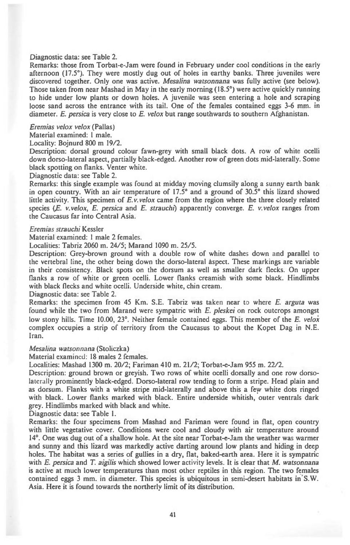#### **Diagnostic data: see Table 2.**

**Remarks: those from Torbat-e-Jam were found in February under cool conditions in the early afternoon (17.5°). They were mostly dug out of holes in earthy banks. Three juveniles were discovered together. Only one was active.** *Mesalina watsonnana* **was fully active (see below). Those taken from near Mashad in May in the early morning (18.5°) were active quickly running to hide under low plants or down holes. A juvenile was seen entering a hole and scraping loose sand across the entrance with its tail. One of the females contained eggs 3-6 mm. in diameter.** *E. persica* **is very close to** *E. velox* **but range southwards to southern Afghanistan.** 

*Eremias velox velox* **(Pallas)** 

**Material examined: 1 male.** 

**Locality: Bojnurd 800 m 19/2.** 

**Description: dorsal ground colour fawn-grey with small black dots. A row of white ocelli down dorso-lateral aspect, partially black-edged. Another row of green dots mid-laterally. Some black spotting on flanks. Venter white.** 

**Diagnostic data: see Table 2.** 

**Remarks: this single example was found at midday moving clumsily along a sunny earth bank in open country. With an air temperature of 17.5° and a ground of 30.5° this lizard showed little activity. This specimen of** *E.v.velox* **came from the region where the three closely related species** *(E. v.velox, E. persica* **and** *E. straucht)* **apparently converge.** *E. v.velox* **ranges from the Caucasus far into Central Asia.** 

#### *Eremias strauchi* **Kessler**

**Material examined: 1 male 2 females.** 

**Localities: Tabriz 2060 m. 24/5; Marand 1090 m. 25/5.** 

**Description: Grey-brown ground with a double row of white dashes down and parallel to the vertebral line, the other being down the dorso-lateral aspect. These markings are variable in their consistency. Black spots on the dorsum as well as smaller dark flecks. On upper flanks a row of white or green ocelli. Lower flanks creamish with some black. Hindlimbs with black flecks and white ocelli. Underside white, chin cream.** 

**Diagnostic data: see Table 2.** 

**Remarks: the specimen from 45 Km. S.E. Tabriz was taken near to where** *E. arguta* **was found while the two from Marand were sympatric with** *E. pleskei* **on rock outcrops amongst**  low stony hills. Time 10.00, 23°. Neither female contained eggs. This member of the *E. velox* **complex occupies a strip of territory from the Caucasus to about the Kopet Dag in N.E. Iran.** 

#### *Mesalina watsonnana* **(Stoliczka)**

**Material examined: 18 males 2 females.** 

**Localities: Mashad 1300 m. 20/2; Fariman 410 m. 21/2; Torbat-e-Jam 955 m. 22/2.** 

**Description: ground brown or greyish. Two rows of white ocelli dorsally and one row dorsolaterally prominently black-edged. Dorso-lateral row tending to form a stripe. Head plain and as dorsum. Flanks with a white stripe mid-laterally and above this a few white dots ringed with black. Lower flanks marked with black. Entire underside whitish, outer ventrals dark grey. Hindlimbs marked with black and white.** 

**Diagnostic data: see Table 1.** 

**Remarks: the four specimens from Mashad and Fariman were found in flat, open country with little vegetative cover. Conditions were cool and cloudy with air temperature around 14°. One was dug out of a shallow hole. At the site near Torbat-e-Jam the weather was warmer and sunny and this lizard was markedly active darting around low plants and hiding in deep holes. The habitat was a series of gullies in a dry, flat, baked-earth area. Here it is sympatric with** *E. persica* **and** *T. aigilis* **which showed lower** *activity* **levels. It is clear that M.** *watsonnana is active* **at much lower temperatures than most other reptiles in this region. The two females contained eggs 3 mm. in diameter. This species is ubiquitous in semi-desert habitats in S.W. Asia. Here it is found towards the northerly limit of its distribution.**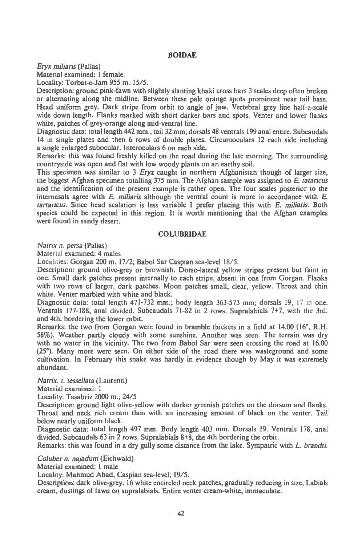# **BOIDAE**

*Eryx mihans* **(Pallas)** 

**Material examined: 1 female.** 

**Locality: Torbat-e-Jam 955 m. 15/5.** 

**Description: ground pink-fawn with slightly slanting khaki cross bars 3 scales deep often broken or alternating along the midline. Between these pale orange spots prominent near tail base. Head uniform grey. Dark stripe from orbit to angle of jaw. Vertebral grey line half-a-scale wide down length. Flanks marked with short darker bars and spots. Venter and lower flanks white, patches of grey-orange along mid-ventral line.** 

**Diagnostic data: total length 442 mm., tail 32 mm; dorsals 48 ventrals 199 anal entire. Subcaudals 14 in single plates and then 6 rows of double plates. Circumoculars 12 each side including a single enlarged subocular. Interoculars 6 on each side.** 

**Remarks: this was found freshly killed on the road during the late morning. The surrounding countryside was open and flat with low woody plants on an earthy soil.** 

**This specimen was similar to 3** *Eryx* **caught in northern Afghanistan though of larger size, the biggest Afghan specimen totalling 375 mm. The** Afghan sample was assigned to *E. tatancus*  **and the identification of the present example is rather open. The four scales posterior to the internasals agree with** *E. miliaris* **although the ventral count is more in accordance with** *E. tartancus.* **Since head scalation is less variable I prefer placing this with** *E. miliaris.* **Both species could be expected in this region. It is worth mentioning that the Afghan examples were found in sandy desert.** 

## **COLUBRIDAE**

*Natrix n. persa* (Pallas)

Material examined: 4 males

Localities: Gorgan 200 **m. 17/2,** Babol Sar Caspian sea-level 18/5.

Description: ground olive-grey or brownish. Dorso-lateral yellow stripes present but faint in one. Small dark patches present internally to each stripe, absent in one from Gorgan. Flanks with two rows of larger, dark patches. Moon patches small, clear, yellow. Throat and chin white. Venter marbled with white and black.

Diagnostic data: total length 471-732 mm.; body length 363-573 mm; dorsals 19, 17 in one. Ventrals 177-188, anal divided. Subcaudals 71-82 in 2 rows. Supralabials 7+7, with the 3rd. **and 4th. bordering the lower orbit.** 

**Remarks: the two from Gorgan were found in bramble thickets in a field at 14.00 (16°, R.H. 58%). Weather partly cloudy with some sunshine. Another was seen. The terrain was dry with no water in the vicinity. The two from Babol Sar were seen crossing the road at 16.00 (25°). Many more were seen. On either side of the road there was wastcground and some cultivation.** In February this snake was hardly in evidence though by May it was extremely abundant.

*Natrix. t. tessellata* (Laurenti)

Material examined: 1

Locality: Tasabriz **2000 m.; 24/5** 

**Description: ground light olive-yellow with darker greenish patches on the dorsum and flanks. Throat and neck rich cream then with an increasing amount of black on the venter. Tail below nearly uniform black.** 

**Diagnostic data: total length 497 mm. Body length 403 mm.** Dorsals 19. Ventrals 178, anal divided. Subcaudals **63 in 2 rows. Supralabials 8+8, the 4th bordering the orbit.** 

**Remarks: this was found in a dry gully some distance from the lake. Sympatric with** *L. brandti.* 

*Coluber n. najadum* **(Eichwald)** 

**Material examined: 1 male** 

**Locality: Mahmud Abad, Caspian sea-level; 19/5.** 

**Description: dark olive-grey. 16 white encircled neck patches, gradually reducing in size, Labials cream, dustings of fawn on supralabials. Entire venter cream-white, immaculate.**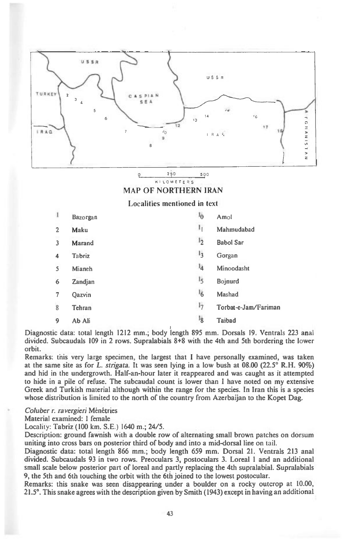

 $\circ$ 250 500 KI LOMETERS

# **MAP OF NORTHERN IRAN**

# **Localities mentioned in text**

| 1              | Bazorgan | 1 <sub>0</sub> | Amol                 |
|----------------|----------|----------------|----------------------|
| $\overline{c}$ | Maku     | 1 <sub>1</sub> | Mahmudabad           |
| $\overline{3}$ | Marand   | 1 <sub>2</sub> | <b>Babol Sar</b>     |
| 4              | Tabriz   | 1 <sub>3</sub> | Gorgan               |
| S              | Mianeh   | 1 <sub>4</sub> | Minoodasht           |
| 6              | Zandjan  | 1 <sub>5</sub> | Bojnurd              |
| 7              | Oazvin   | 16             | Mashad               |
| 8              | Tehran   | 17             | Torbat-e-Jam/Fariman |
| 9              | Ab Ali   | 1 <sub>8</sub> | Taibad               |

**Diagnostic data: total length 1212 mm.; body length 895 mm. Dorsals 19. Ventrals 223 anal divided. Subcaudals 109 in 2 rows. Supralabials 8+8 with the 4th and 5th bordering the lower orbit.** 

**Remarks: this very large specimen, the largest that I have personally examined, was taken at the same site as for L. strigata. It was seen lying in a low bush at 08.00 (22.5° R.H. 90%) and hid in the undergrowth. Half-an-hour later it reappeared and was caught as it attempted to hide in a pile of refuse. The subcaudal count is lower than I have noted on my extensive Greek and Turkish material although within the range for the species. In Iran this is a species whose distribution is limited to the north of the country from Azerbaijan to the Kopet Dag.** 

**Coluber r. ravergieri Menatries** 

**Material examined: 1 female** 

**Locality: Tabriz (100 km. S.E.) 1640 m.; 24/5.** 

**Description: ground fawnish with a double row of alternating small brown patches on dorsum uniting into cross bars on posterior third of body and into a mid-dorsal line on tail.** 

**Diagnostic data: total length 866 mm.; body length 659 mm. Dorsal 21. Ventrals 213 anal divided. Subcaudals 93 in two rows. Preoculars 3, postoculars 3. Loreal 1 and an additional small scale below posterior part of loreal and partly replacing the 4th supralabial. Supralabials 9, the 5th and 6th touching the orbit with the 6th joined to the lowest postocular.** 

**Remarks: this snake was seen disappearing under a boulder on a rocky outcrop at 10.00, 21.5°. This snake agrees with the description given by Smith (1943) except in having an additional**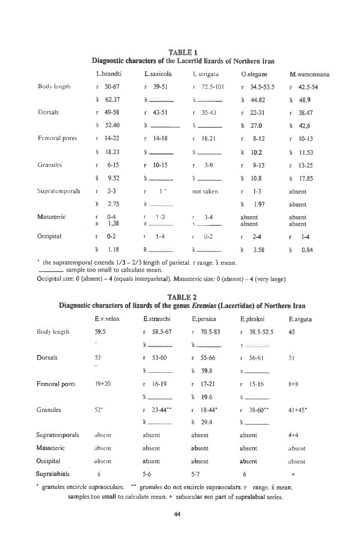**TABLE 1 Diagnostic characters of the Lacertid lizards of Northern Iran** 

|                 | L.brandti                            | L.saxicola                       | L.strigata               | O.elegans                  | M.watsonnana                  |
|-----------------|--------------------------------------|----------------------------------|--------------------------|----------------------------|-------------------------------|
| Body length     | $50 - 67$<br>r.                      | $39 - 51$<br>г.                  | 72.5-101<br>$\Gamma$     | 34, 5-53.5<br>$\Gamma$     | 42.5-54<br>r.                 |
|                 | $\bar{x}$<br>62.37                   |                                  | $\bar{x}$                | $\ddot{x}$<br>44.82        | $\bar{x}$<br>48.9             |
| Dorsals         | 49-58<br>r.                          | $r$ 43-51                        | $35 - 43$<br>r           | $22 - 31$<br>$\Gamma$      | 38.47<br>$\Gamma$             |
|                 | 52.40<br>$\tilde{\mathbf{x}}$        | $\bar{x}$                        |                          | 27.0<br>$\bar{x}$          | $\bar{\mathbf{x}}$<br>42,6    |
| Femoral pores   | $14 - 22$<br>$\Gamma$                | $14-18$<br>r                     | 18.21<br>E.              | $8 - 12$<br>r              | $10 - 13$<br>$\Gamma$         |
|                 | $\bar{x}$<br>18.23                   | $\bar{x}$                        |                          | $\bar{x}$<br>10.2          | 11.53<br>$\bar{x}$            |
| <b>Granules</b> | $6 - 15$<br>т.                       | $10 - 15$<br>r.                  | $3-9$<br>r               | $9 - 13$<br>r              | $13 - 25$<br>$\Gamma$         |
|                 | $\bar{x}$<br>9.52                    | $\bar{x}$                        | $\bar{x}$ $\qquad$       | 10.8<br>$\bar{x}$          | $\mathbf{\tilde{x}}$<br>17.85 |
| Supratemporals  | $2 - 3$<br>$\Gamma$                  | $1*$<br>r                        | not taken                | $1 - 3$<br>г               | absent                        |
|                 | $\bar{x}$<br>2.75                    | $\bar{x}$ $\qquad$               |                          | $\bar{x}$<br>1.97          | absent                        |
| Masseteric      | $0 - 4$<br>r<br>1,38<br>$\pmb{\chi}$ | $\mathsf{r}$<br>$1 - 3$<br>$x =$ | $3 - 4$<br>$\frac{1}{2}$ | absent<br>absent           | absent<br>absent              |
| Occipital       | $0 - 2$<br>Г                         | $1 - 4$<br>f.                    | $0 - 2$<br>$\Gamma$      | $2 - 4$<br>Г               | $1-4$<br>r.                   |
|                 | $\bar{x}$<br>1.18                    | $\bar{x}$                        |                          | 3.58<br>$\bar{\textbf{x}}$ | $\hat{\mathbf{x}}$<br>0.84    |

 $*$  the supratemporal extends  $1/3 - 2/3$  length of parietal. r range.  $\bar{x}$  mean.

 **sample too small to calculate mean.** 

**Occipital size: 0 (absent) - 4 (equals interparietal). Massetcric size: 0 (absent) - 4 (very large)** 

|                     |              | Diagnostic characters of lizards of the genus <i>Eremias</i> (Lacertidae) of Northern Iran |                           |                         |            |
|---------------------|--------------|--------------------------------------------------------------------------------------------|---------------------------|-------------------------|------------|
|                     | E.v. velox   | E.strauchi                                                                                 | E.persica                 | E.pleskei               | E.arguta   |
| Body length         | 59.5         | 58.5-67<br>$\Gamma$                                                                        | $70.5 - 83$<br>$\Gamma$   | 38.5-52.5<br>$\Gamma$   | 45         |
|                     | -            | $\bar{x}$                                                                                  | $\bar{x}$ $\sim$          | $X = \square$           |            |
| Dorsals             | 53           | $r$ 53-60                                                                                  | 55-66<br>r.               | $56 - 61$<br>r          | 51         |
|                     |              | $\bar{x}$                                                                                  | 59.8<br>$\bar{x}$         | $X = 1$                 |            |
| Femoral pores       | $19 + 20$    | $16-19$<br>r.                                                                              | $\mathbf{r}$<br>$17 - 21$ | $15-16$<br>r.           | $8 + 8$    |
|                     |              | $\bar{x}$ $\qquad$                                                                         | $\bar{x}$<br>19.6         | $\hat{\mathbf{x}}$      |            |
| <b>Granules</b>     | $52^{\circ}$ | $23 - 44"$<br>۳.                                                                           | $18 - 44$ *<br>r          | $38 - 60$ **<br>r.      | $41 + 45"$ |
|                     |              |                                                                                            | $\bar{x}$<br>29.4         | $\bar{x}$ and $\bar{x}$ |            |
| Supratemporals      | absent       | absent                                                                                     | absent                    | absent                  | $4 + 4$    |
| Masseteric          | absent       | absent                                                                                     | absent                    | absent                  | absent     |
| Occipital           | absent       | absent                                                                                     | absent                    | absent                  | absent     |
| <b>Supralabials</b> | 6            | $5-6$                                                                                      | $5 - 7$                   | 6                       | ÷          |

**TABLE 2** 

#### **Diagnostic characters of lizards of the genus** *Eremias* **(Lacertidae) of Northern Iran**

\* granules encircle supraoculars. \*\* granules do not encircle supraoculars. r range.  $\bar{x}$  mean. **samples too small to calculate mean. + subocular not part of supralabial series.**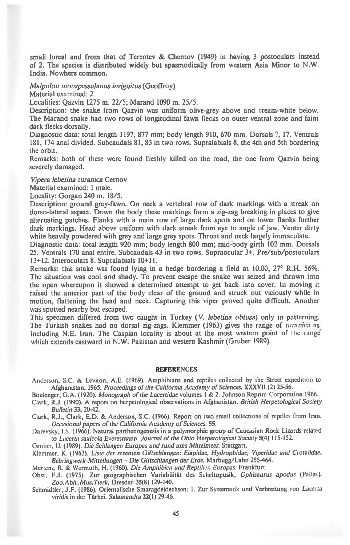small loreal and from that of Terentev & Chernov (1949) in having 3 postoculars instead of 2. The species is distributed widely but spasmodically from western Asia Minor to N.W. India. Nowhere common.

*Malpolon monspessulanus insignitus* (Geoffroy)

Material examined: 2

Localities: Qazvin 1275 m. 22/5; Marand 1090 m. 25/5.

Description: the snake from Qazvin was uniform olive-grey above and cream-white below. The Marand snake had two rows of longitudinal fawn flecks on outer ventral zone and faint dark flecks dorsally.

Diagnostic data: total length 1197, 877 mm; body length 910, 670 mm. Dorsals ?, 17. Ventrals 181, 174 anal divided. Subcaudals 81, 83 in two rows. Supralabials 8, the 4th and 5th bordering the orbit.

Remarks: both of these were found freshly killed on the road, the one from Qazvin being severely damaged.

*Vipera lebetina turanica* Cemov

Material examined: 1 male.

Locality: Gorgan 240 m. 18/5.

Description: ground grey-fawn. On neck a vertebral row of dark markings with a streak on dorso-lateral aspect. Down the body these markings form a zig-zag breaking in places to give alternating patches. Flanks with a main row of large dark spots and on lower flanks further dark markings. Head above uniform with dark streak from eye to angle of jaw. Venter dirty white heavily powdered with grey and large grey spots. Throat and neck largely immaculate.

Diagnostic data: total length 920 mm; body length 800 mm; mid-body girth 102 mm. Dorsals 25. Ventrals 170 anal entire. Subcaudals 43 in two rows. Supraocular 3+. Pre/sub/postoculars 13+12. Interoculars 8. Supralabials 10+11.

Remarks: this snake wss found lying in a hedge bordering a field at 10.00, 27° R.H. 56%. The situation was cool and shady. To prevent escape the snake was seized and thrown into the open whereupon it showed a determined attempt to get back into cover. In moving it raised the anterior part of the body clear of the ground and struck out viciously while in motion, flattening the head and neck. Capturing this viper proved quite difficult. Another was spotted nearby but escaped.

This specimen differed from two caught in Turkey *(V. lebetina obtusa)* only in patterning. The Turkish snakes had no dorsal zig-zags. Klemmer (1963) gives the range of *turanica* as , including N.E. Iran. The Caspian locality is about at the most western point **of the range which extends eastward to N.W. Pakistan and western Kashmir (Gruber 1989).** 

#### **REFERENCES**

**Anderson, S.C.** *&* **Leviton, A.E. (1969). Amphibians and reptiles collected by the Street expedition to Afghanistan, 1965.** *Proceedings of the California Academy of Sciences. XXXVII* **(2) 25-56.** 

- **Boulanger, G.A. (1920).** *Monograph of the Lacertidae* **volumes I & 2. Johnson Reprint Corporation 1966.**
- **Clark, R.J. (1990). A report on herpetological observations in Afghanistan.** *British Herpetological Society Bulletin 33,* **20-42.**

**Clark, R.J., Clark, E.D. & Anderson, S.C. (1966). Report on two small collections of reptiles from Iran.**  *Occasional papers of the California Academy of Sciences.* **55.** 

**Darevsky, I.S. (1966). Natural parthenogenesis in a polymorphic group of Caucasian Rock Lizards related to** *Lacerta saxicola* **Everesmann.** *Journal of the Ohio Herpetological Society* **5(4) 115-152.** 

**Gruber, U. (1989).** *Die Schlangen Europas und rund ums Mittelmeer.* **Stuttgart.** 

**Klemmer, K.** *(1963). Liste der rezenten Giftschlangen: Elapidae, Hydrophidae, Viperidae und Crotalidae. Behringwerk-Mitteilungen - Die Giftschlangen der Erdc.* **Marbugg/Lahn 255-464.** 

**Mertens, R. & Wermuth, H. (1960).** *Die Amphibien und Reptilicn Europas.* **Frankfurt.** 

**Obst, F.J. (1975). Zur geographischen Variabilitat des Scheltopusik,** *Ophisaurus apodus* **(Pallas).**  *Zoo.Abh..Mus.Tierk.* **Dresden 35(8) 129-140.** 

**Schmidtler, J.F. (1986). Orientalische Smaragdeidechsen: 1. Zur Systematik und Verbreitung von** *Lacerta viridis* **in der Tiirkei.** *Salamandra* **22( I ) 29-46.**